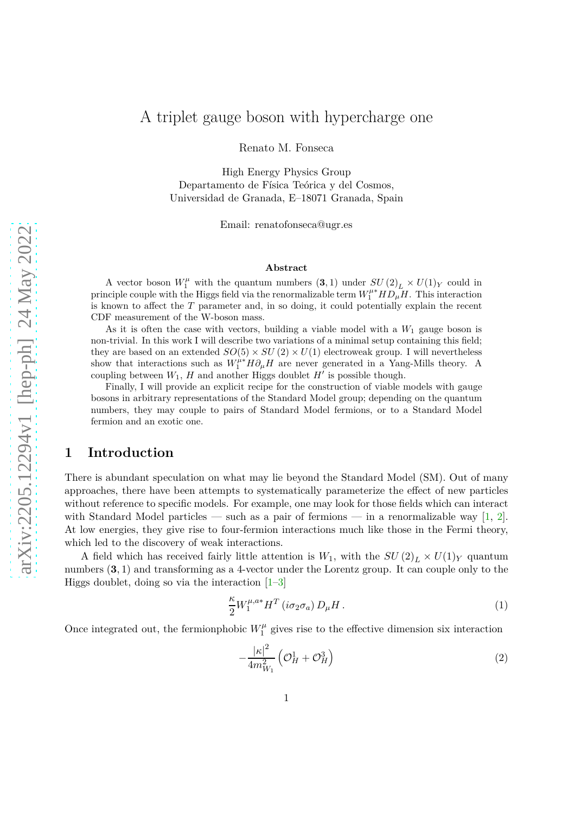## A triplet gauge boson with hypercharge one

Renato M. Fonseca

High Energy Physics Group Departamento de Física Teórica y del Cosmos, Universidad de Granada, E–18071 Granada, Spain

Email: renatofonseca@ugr.es

#### **Abstract**

A vector boson  $W_1^{\mu}$  with the quantum numbers  $(3,1)$  under  $SU(2)_L \times U(1)_Y$  could in principle couple with the Higgs field via the renormalizable term  $W_1^{\mu*} H D_{\mu} H$ . This interaction is known to affect the *T* parameter and, in so doing, it could potentially explain the recent CDF measurement of the W-boson mass.

As it is often the case with vectors, building a viable model with a  $W_1$  gauge boson is non-trivial. In this work I will describe two variations of a minimal setup containing this field; they are based on an extended  $SO(5) \times SU(2) \times U(1)$  electroweak group. I will nevertheless show that interactions such as  $W_1^{\mu*} H \partial_\mu H$  are never generated in a Yang-Mills theory. A coupling between  $W_1$ ,  $H$  and another Higgs doublet  $H'$  is possible though.

Finally, I will provide an explicit recipe for the construction of viable models with gauge bosons in arbitrary representations of the Standard Model group; depending on the quantum numbers, they may couple to pairs of Standard Model fermions, or to a Standard Model fermion and an exotic one.

#### **1 Introduction**

There is abundant speculation on what may lie beyond the Standard Model (SM). Out of many approaches, there have been attempts to systematically parameterize the effect of new particles without reference to specific models. For example, one may look for those fields which can interact with Standard Model particles — such as a pair of fermions — in a renormalizable way  $[1, 2]$  $[1, 2]$ . At low energies, they give rise to four-fermion interactions much like those in the Fermi theory, which led to the discovery of weak interactions.

A field which has received fairly little attention is  $W_1$ , with the  $SU(2)_L \times U(1)_Y$  quantum numbers  $(3, 1)$  and transforming as a 4-vector under the Lorentz group. It can couple only to the Higgs doublet, doing so via the interaction  $[1-3]$ 

$$
\frac{\kappa}{2}W_1^{\mu,a*}H^T(i\sigma_2\sigma_a) D_\mu H.
$$
\n(1)

Once integrated out, the fermionphobic  $W_1^{\mu}$  $j_1^{\mu}$  gives rise to the effective dimension six interaction

$$
-\frac{|\kappa|^2}{4m_{W_1}^2} \left(\mathcal{O}_H^1 + \mathcal{O}_H^3\right) \tag{2}
$$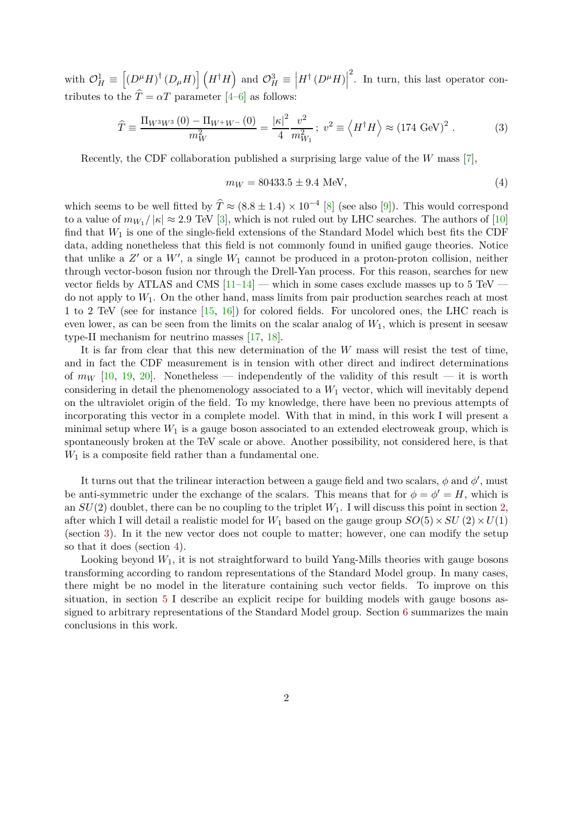with  $\mathcal{O}_H^1 \equiv$  $\left[\left(D^{\mu}H\right)^{\dagger}\left(D_{\mu}H\right)\right]\left(H^{\dagger}H\right)$  and  $\mathcal{O}_{H}^{3}$   $\equiv$  $\left| H^{\dagger}\left(D^{\mu}H\right)\right|$ 2 . In turn, this last operator contributes to the  $\hat{T} = \alpha T$  parameter [\[4](#page-13-3)[–6](#page-13-4)] as follows:

$$
\hat{T} \equiv \frac{\Pi_{W^3 W^3} (0) - \Pi_{W^+ W^-} (0)}{m_W^2} = \frac{|\kappa|^2}{4} \frac{v^2}{m_{W_1}^2}; \ v^2 \equiv \left\langle H^\dagger H \right\rangle \approx (174 \text{ GeV})^2. \tag{3}
$$

Recently, the CDF collaboration published a surprising large value of the *W* mass [\[7\]](#page-13-5),

$$
m_W = 80433.5 \pm 9.4 \text{ MeV},\tag{4}
$$

which seems to be well fitted by  $\hat{T} \approx (8.8 \pm 1.4) \times 10^{-4}$  [\[8](#page-14-0)] (see also [\[9](#page-14-1)]). This would correspond to a value of  $m_{W_1}/|\kappa| \approx 2.9$  TeV [\[3\]](#page-13-2), which is not ruled out by LHC searches. The authors of [\[10\]](#page-14-2) find that *W*<sup>1</sup> is one of the single-field extensions of the Standard Model which best fits the CDF data, adding nonetheless that this field is not commonly found in unified gauge theories. Notice that unlike a  $Z'$  or a  $W'$ , a single  $W_1$  cannot be produced in a proton-proton collision, neither through vector-boson fusion nor through the Drell-Yan process. For this reason, searches for new vector fields by ATLAS and CMS  $[11-14]$  — which in some cases exclude masses up to 5 TeV do not apply to *W*1. On the other hand, mass limits from pair production searches reach at most 1 to 2 TeV (see for instance [\[15,](#page-14-5) [16](#page-14-6)]) for colored fields. For uncolored ones, the LHC reach is even lower, as can be seen from the limits on the scalar analog of  $W_1$ , which is present in seesaw type-II mechanism for neutrino masses [\[17](#page-14-7), [18](#page-14-8)].

It is far from clear that this new determination of the *W* mass will resist the test of time, and in fact the CDF measurement is in tension with other direct and indirect determinations of  $m_W$  [\[10](#page-14-2), [19,](#page-14-9) [20](#page-14-10)]. Nonetheless — independently of the validity of this result — it is worth considering in detail the phenomenology associated to a  $W_1$  vector, which will inevitably depend on the ultraviolet origin of the field. To my knowledge, there have been no previous attempts of incorporating this vector in a complete model. With that in mind, in this work I will present a minimal setup where  $W_1$  is a gauge boson associated to an extended electroweak group, which is spontaneously broken at the TeV scale or above. Another possibility, not considered here, is that  $W_1$  is a composite field rather than a fundamental one.

It turns out that the trilinear interaction between a gauge field and two scalars,  $\phi$  and  $\phi'$ , must be anti-symmetric under the exchange of the scalars. This means that for  $\phi = \phi' = H$ , which is an  $SU(2)$  doublet, there can be no coupling to the triplet  $W_1$ . I will discuss this point in section [2,](#page-2-0) after which I will detail a realistic model for  $W_1$  based on the gauge group  $SO(5) \times SU(2) \times U(1)$ (section [3\)](#page-3-0). In it the new vector does not couple to matter; however, one can modify the setup so that it does (section [4\)](#page-7-0).

Looking beyond  $W_1$ , it is not straightforward to build Yang-Mills theories with gauge bosons transforming according to random representations of the Standard Model group. In many cases, there might be no model in the literature containing such vector fields. To improve on this situation, in section [5](#page-9-0) I describe an explicit recipe for building models with gauge bosons assigned to arbitrary representations of the Standard Model group. Section [6](#page-12-0) summarizes the main conclusions in this work.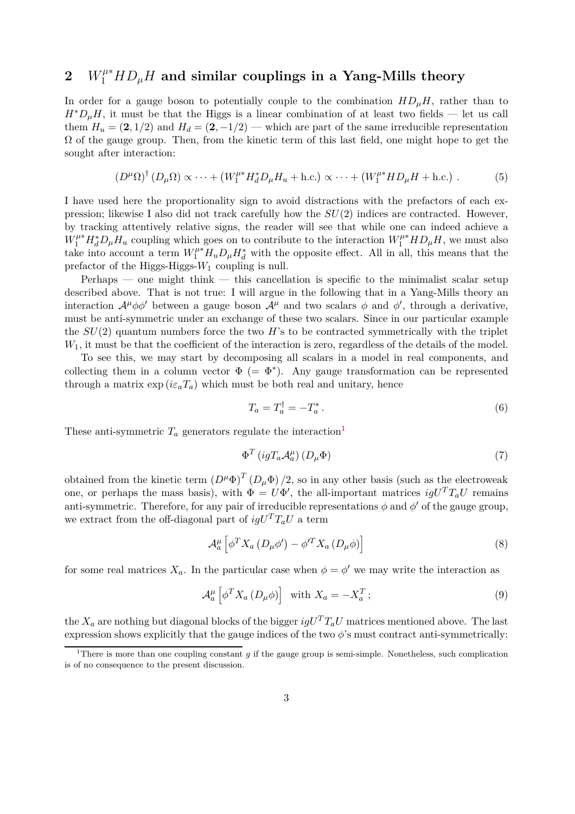# <span id="page-2-0"></span> $W_1^{\mu *} HD_\mu H$  and similar couplings in a Yang-Mills theory

In order for a gauge boson to potentially couple to the combination  $HD<sub>µ</sub>H$ , rather than to  $H^*D_\mu H$ , it must be that the Higgs is a linear combination of at least two fields — let us call them  $H_u = (2, 1/2)$  and  $H_d = (2, -1/2)$  — which are part of the same irreducible representation  $\Omega$  of the gauge group. Then, from the kinetic term of this last field, one might hope to get the sought after interaction:

$$
(D^{\mu}\Omega)^{\dagger} (D_{\mu}\Omega) \propto \cdots + (W_1^{\mu*} H_d^* D_{\mu} H_u + \text{h.c.}) \propto \cdots + (W_1^{\mu*} H D_{\mu} H + \text{h.c.}) \ . \tag{5}
$$

I have used here the proportionality sign to avoid distractions with the prefactors of each expression; likewise I also did not track carefully how the *SU*(2) indices are contracted. However, by tracking attentively relative signs, the reader will see that while one can indeed achieve a  $W_1^{\mu*} H_d^* D_\mu H_u$  coupling which goes on to contribute to the interaction  $W_1^{\mu*} H D_\mu H$ , we must also take into account a term  $W_1^{\mu*}H_uD_\mu H_d^*$  with the opposite effect. All in all, this means that the prefactor of the Higgs-Higgs-*W*<sup>1</sup> coupling is null.

 $Perhaps$  — one might think — this cancellation is specific to the minimalist scalar setup described above. That is not true: I will argue in the following that in a Yang-Mills theory an interaction  $\mathcal{A}^{\mu}\phi\phi'$  between a gauge boson  $\mathcal{A}^{\mu}$  and two scalars  $\phi$  and  $\phi'$ , through a derivative, must be anti-symmetric under an exchange of these two scalars. Since in our particular example the  $SU(2)$  quantum numbers force the two  $H$ 's to be contracted symmetrically with the triplet  $W_1$ , it must be that the coefficient of the interaction is zero, regardless of the details of the model.

To see this, we may start by decomposing all scalars in a model in real components, and collecting them in a column vector  $\Phi$  (=  $\Phi^*$ ). Any gauge transformation can be represented through a matrix  $\exp(i\varepsilon_a T_a)$  which must be both real and unitary, hence

$$
T_a = T_a^\dagger = -T_a^* \,. \tag{6}
$$

These anti-symmetric  $T_a$  generators regulate the interaction<sup>[1](#page-2-1)</sup>

$$
\Phi^T \left( igT_a \mathcal{A}_a^\mu \right) \left( D_\mu \Phi \right) \tag{7}
$$

obtained from the kinetic term  $(D^{\mu} \Phi)^{T} (D_{\mu} \Phi) / 2$ , so in any other basis (such as the electroweak one, or perhaps the mass basis), with  $\Phi = U\Phi'$ , the all-important matrices  $igU^{T}T_{a}U$  remains anti-symmetric. Therefore, for any pair of irreducible representations  $\phi$  and  $\phi'$  of the gauge group, we extract from the off-diagonal part of  $igU^{T}T_{a}U$  a term

$$
\mathcal{A}_{a}^{\mu}\left[\phi^{T}X_{a}\left(D_{\mu}\phi'\right)-\phi^{\prime T}X_{a}\left(D_{\mu}\phi\right)\right]
$$
\n
$$
\tag{8}
$$

for some real matrices  $X_a$ . In the particular case when  $\phi = \phi'$  we may write the interaction as

$$
\mathcal{A}_{a}^{\mu} \left[ \phi^{T} X_{a} \left( D_{\mu} \phi \right) \right] \text{ with } X_{a} = -X_{a}^{T}; \qquad (9)
$$

the  $X_a$  are nothing but diagonal blocks of the bigger  $iqU<sup>T</sup>T_aU$  matrices mentioned above. The last expression shows explicitly that the gauge indices of the two  $\phi$ 's must contract anti-symmetrically:

<span id="page-2-1"></span><sup>&</sup>lt;sup>1</sup>There is more than one coupling constant *q* if the gauge group is semi-simple. Nonetheless, such complication is of no consequence to the present discussion.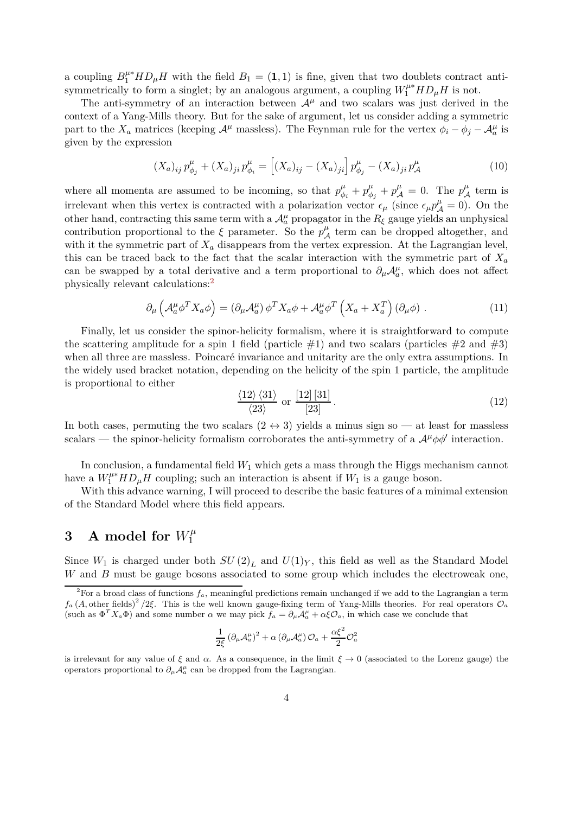a coupling  $B_1^{\mu*} H D_{\mu} H$  with the field  $B_1 = (1,1)$  is fine, given that two doublets contract antisymmetrically to form a singlet; by an analogous argument, a coupling  $W_1^{\mu*} H D_{\mu} H$  is not.

The anti-symmetry of an interaction between  $A^{\mu}$  and two scalars was just derived in the context of a Yang-Mills theory. But for the sake of argument, let us consider adding a symmetric part to the  $X_a$  matrices (keeping  $A^{\mu}$  massless). The Feynman rule for the vertex  $\phi_i - \phi_j - A^{\mu}_a$  is given by the expression

$$
(X_a)_{ij} p_{\phi_j}^{\mu} + (X_a)_{ji} p_{\phi_i}^{\mu} = \left[ (X_a)_{ij} - (X_a)_{ji} \right] p_{\phi_j}^{\mu} - (X_a)_{ji} p_{\mathcal{A}}^{\mu}
$$
 (10)

where all momenta are assumed to be incoming, so that  $p^{\mu}_{\phi}$  $\frac{\mu}{\phi_i} + p_{\phi}^{\mu}$  $p_{\phi_j}^{\mu} + p_{\mathcal{A}}^{\mu} = 0$ . The  $p_{\mathcal{A}}^{\mu}$  term is irrelevant when this vertex is contracted with a polarization vector  $\epsilon_{\mu}$  (since  $\epsilon_{\mu}p^{\mu}_{A}=0$ ). On the other hand, contracting this same term with a  $\mathcal{A}^{\mu}_{a}$  propagator in the  $R_{\xi}$  gauge yields an unphysical contribution proportional to the  $\xi$  parameter. So the  $p^{\mu}_{\mathcal{A}}$  term can be dropped altogether, and with it the symmetric part of  $X_a$  disappears from the vertex expression. At the Lagrangian level, this can be traced back to the fact that the scalar interaction with the symmetric part of  $X_a$ can be swapped by a total derivative and a term proportional to  $\partial_{\mu}A^{\mu}_{a}$ , which does not affect physically relevant calculations:[2](#page-3-1)

$$
\partial_{\mu} \left( \mathcal{A}_{a}^{\mu} \phi^{T} X_{a} \phi \right) = \left( \partial_{\mu} \mathcal{A}_{a}^{\mu} \right) \phi^{T} X_{a} \phi + \mathcal{A}_{a}^{\mu} \phi^{T} \left( X_{a} + X_{a}^{T} \right) \left( \partial_{\mu} \phi \right) . \tag{11}
$$

Finally, let us consider the spinor-helicity formalism, where it is straightforward to compute the scattering amplitude for a spin 1 field (particle  $\#1$ ) and two scalars (particles  $\#2$  and  $\#3$ ) when all three are massless. Poincaré invariance and unitarity are the only extra assumptions. In the widely used bracket notation, depending on the helicity of the spin 1 particle, the amplitude is proportional to either

$$
\frac{\langle 12 \rangle \langle 31 \rangle}{\langle 23 \rangle} \text{ or } \frac{[12][31]}{[23]}.
$$
\n
$$
(12)
$$

In both cases, permuting the two scalars  $(2 \leftrightarrow 3)$  yields a minus sign so — at least for massless scalars — the spinor-helicity formalism corroborates the anti-symmetry of a  $\mathcal{A}^{\mu}\phi\phi'$  interaction.

In conclusion, a fundamental field  $W_1$  which gets a mass through the Higgs mechanism cannot have a  $W_1^{\mu*} H D_{\mu} H$  coupling; such an interaction is absent if  $W_1$  is a gauge boson.

With this advance warning, I will proceed to describe the basic features of a minimal extension of the Standard Model where this field appears.

#### <span id="page-3-0"></span>**3** A model for  $W_1^{\mu}$ 1

Since  $W_1$  is charged under both  $SU(2)_L$  and  $U(1)_Y$ , this field as well as the Standard Model *W* and *B* must be gauge bosons associated to some group which includes the electroweak one,

$$
\frac{1}{2\xi}\left(\partial_\mu{\cal A}^\mu_a\right)^2+\alpha\left(\partial_\mu{\cal A}^\mu_a\right){\cal O}_a+\frac{\alpha\xi^2}{2}{\cal O}_a^2
$$

is irrelevant for any value of  $\xi$  and  $\alpha$ . As a consequence, in the limit  $\xi \to 0$  (associated to the Lorenz gauge) the operators proportional to  $\partial_{\mu}A^{\mu}_{a}$  can be dropped from the Lagrangian.

<span id="page-3-1"></span><sup>&</sup>lt;sup>2</sup>For a broad class of functions  $f_a$ , meaningful predictions remain unchanged if we add to the Lagrangian a term  $f_a$  (*A*, other fields)<sup>2</sup>/2*ξ*. This is the well known gauge-fixing term of Yang-Mills theories. For real operators  $\mathcal{O}_a$ (such as  $\Phi^T X_a \Phi$ ) and some number  $\alpha$  we may pick  $f_a = \partial_\mu A^\mu_a + \alpha \xi \mathcal{O}_a$ , in which case we conclude that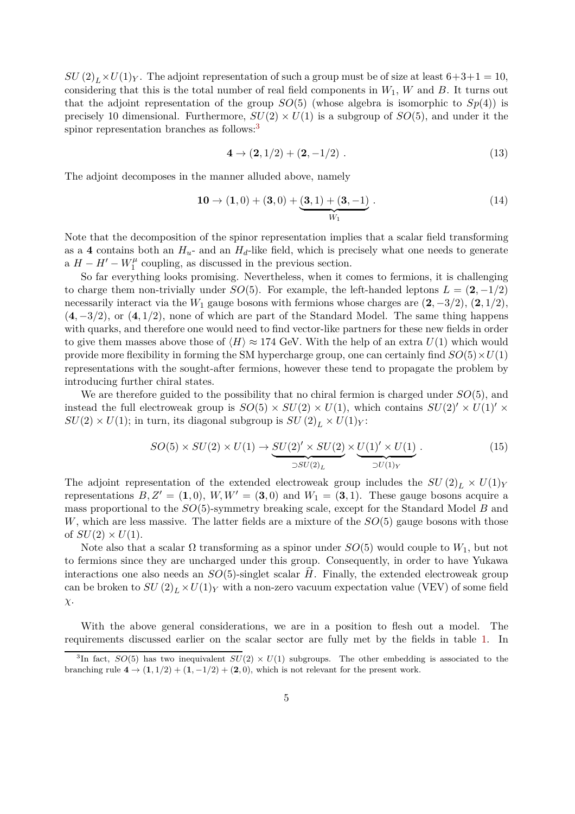$SU(2)_L \times U(1)_Y$ . The adjoint representation of such a group must be of size at least  $6+3+1=10$ , considering that this is the total number of real field components in  $W_1$ ,  $W$  and  $B$ . It turns out that the adjoint representation of the group  $SO(5)$  (whose algebra is isomorphic to  $Sp(4)$ ) is precisely 10 dimensional. Furthermore,  $SU(2) \times U(1)$  is a subgroup of  $SO(5)$ , and under it the spinor representation branches as follows:<sup>[3](#page-4-0)</sup>

$$
4 \to (2, 1/2) + (2, -1/2) . \tag{13}
$$

The adjoint decomposes in the manner alluded above, namely

$$
10 \to (1,0) + (3,0) + (3,1) + (3,-1) \cdot W_1 \tag{14}
$$

Note that the decomposition of the spinor representation implies that a scalar field transforming as a 4 contains both an  $H_u$ - and an  $H_d$ -like field, which is precisely what one needs to generate a  $H - H' - W_1^{\mu}$  $\frac{1}{1}$  coupling, as discussed in the previous section.

So far everything looks promising. Nevertheless, when it comes to fermions, it is challenging to charge them non-trivially under *SO*(5). For example, the left-handed leptons  $L = (2, -1/2)$ necessarily interact via the  $W_1$  gauge bosons with fermions whose charges are  $(2, -3/2)$ ,  $(2, 1/2)$ , (**4***,* <sup>−</sup>3*/*2), or (**4***,* <sup>1</sup>*/*2), none of which are part of the Standard Model. The same thing happens with quarks, and therefore one would need to find vector-like partners for these new fields in order to give them masses above those of  $\langle H \rangle \approx 174$  GeV. With the help of an extra  $U(1)$  which would provide more flexibility in forming the SM hypercharge group, one can certainly find  $SO(5) \times U(1)$ representations with the sought-after fermions, however these tend to propagate the problem by introducing further chiral states.

We are therefore guided to the possibility that no chiral fermion is charged under *SO*(5), and instead the full electroweak group is  $SO(5) \times SU(2) \times U(1)$ , which contains  $SU(2)' \times U(1)' \times$  $SU(2) \times U(1)$ ; in turn, its diagonal subgroup is  $SU(2)_L \times U(1)_Y$ :

<span id="page-4-1"></span>
$$
SO(5) \times SU(2) \times U(1) \to \underbrace{SU(2)'\times SU(2)}_{\supset SU(2)_L} \times \underbrace{U(1)'\times U(1)}_{\supset U(1)_Y}.
$$
 (15)

The adjoint representation of the extended electroweak group includes the  $SU(2)_L \times U(1)_Y$ representations  $B, Z' = (1,0), W, W' = (3,0)$  and  $W_1 = (3,1)$ . These gauge bosons acquire a mass proportional to the *SO*(5)-symmetry breaking scale, except for the Standard Model *B* and *W*, which are less massive. The latter fields are a mixture of the *SO*(5) gauge bosons with those of  $SU(2) \times U(1)$ .

Note also that a scalar  $\Omega$  transforming as a spinor under  $SO(5)$  would couple to  $W_1$ , but not to fermions since they are uncharged under this group. Consequently, in order to have Yukawa interactions one also needs an  $SO(5)$ -singlet scalar *H*. Finally, the extended electroweak group can be broken to  $SU(2)_L \times U(1)_Y$  with a non-zero vacuum expectation value (VEV) of some field *χ*.

With the above general considerations, we are in a position to flesh out a model. The requirements discussed earlier on the scalar sector are fully met by the fields in table [1.](#page-5-0) In

<span id="page-4-0"></span><sup>&</sup>lt;sup>3</sup>In fact, *SO*(5) has two inequivalent  $SU(2) \times U(1)$  subgroups. The other embedding is associated to the branching rule  $4 \rightarrow (1, 1/2) + (1, -1/2) + (2, 0)$ , which is not relevant for the present work.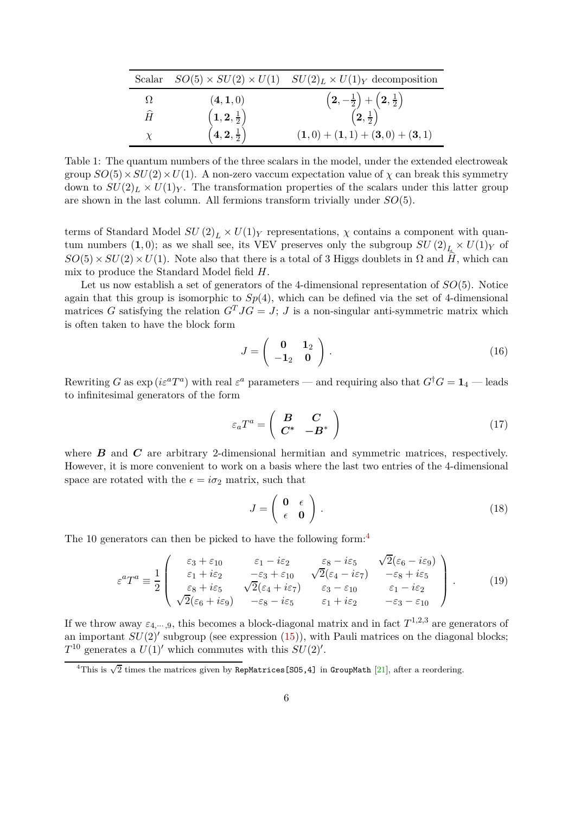| Scalar    |                                                                                                 | $SO(5) \times SU(2) \times U(1)$ $SU(2)_L \times U(1)_Y$ decomposition                     |
|-----------|-------------------------------------------------------------------------------------------------|--------------------------------------------------------------------------------------------|
| Ω         | (4,1,0)                                                                                         |                                                                                            |
| $\hat{H}$ | $\begin{pmatrix} {\bf 1},{\bf 2},\frac{1}{2} \cr {\bf 4},{\bf 2},\frac{1}{2} \cr \end{pmatrix}$ | $\left(2, -\frac{1}{2}\right) + \left(2, \frac{1}{2}\right) \ \left(2, \frac{1}{2}\right)$ |
| $\chi$    |                                                                                                 | $(1,0) + (1,1) + (3,0) + (3,1)$                                                            |

<span id="page-5-0"></span>Table 1: The quantum numbers of the three scalars in the model, under the extended electroweak group  $SO(5) \times SU(2) \times U(1)$ . A non-zero vaccum expectation value of  $\chi$  can break this symmetry down to  $SU(2)_L \times U(1)_Y$ . The transformation properties of the scalars under this latter group are shown in the last column. All fermions transform trivially under *SO*(5).

terms of Standard Model  $SU(2)_L \times U(1)_Y$  representations,  $\chi$  contains a component with quantum numbers  $(1,0)$ ; as we shall see, its VEV preserves only the subgroup  $SU(2)_L \times U(1)_Y$  of  $SO(5) \times SU(2) \times U(1)$ . Note also that there is a total of 3 Higgs doublets in  $\Omega$  and  $\hat{H}$ , which can mix to produce the Standard Model field *H*.

Let us now establish a set of generators of the 4-dimensional representation of *SO*(5). Notice again that this group is isomorphic to  $Sp(4)$ , which can be defined via the set of 4-dimensional matrices *G* satisfying the relation  $G<sup>T</sup> J G = J$ ; *J* is a non-singular anti-symmetric matrix which is often taken to have the block form

$$
J = \left(\begin{array}{cc} \mathbf{0} & \mathbf{1}_2 \\ -\mathbf{1}_2 & \mathbf{0} \end{array}\right). \tag{16}
$$

Rewriting *G* as  $\exp( i \varepsilon^a T^a)$  with real  $\varepsilon^a$  parameters — and requiring also that  $G^{\dagger} G = \mathbf{1}_4$  — leads to infinitesimal generators of the form

$$
\varepsilon_a T^a = \left( \begin{array}{cc} \boldsymbol{B} & \boldsymbol{C} \\ \boldsymbol{C}^* & -\boldsymbol{B}^* \end{array} \right) \tag{17}
$$

where *B* and *C* are arbitrary 2-dimensional hermitian and symmetric matrices, respectively. However, it is more convenient to work on a basis where the last two entries of the 4-dimensional space are rotated with the  $\epsilon = i\sigma_2$  matrix, such that

$$
J = \left(\begin{array}{cc} \mathbf{0} & \epsilon \\ \epsilon & \mathbf{0} \end{array}\right) \,. \tag{18}
$$

The 10 generators can then be picked to have the following form:<sup>[4](#page-5-1)</sup>

$$
\varepsilon^{a}T^{a} \equiv \frac{1}{2} \begin{pmatrix} \varepsilon_{3} + \varepsilon_{10} & \varepsilon_{1} - i\varepsilon_{2} & \varepsilon_{8} - i\varepsilon_{5} & \sqrt{2}(\varepsilon_{6} - i\varepsilon_{9}) \\ \varepsilon_{1} + i\varepsilon_{2} & -\varepsilon_{3} + \varepsilon_{10} & \sqrt{2}(\varepsilon_{4} - i\varepsilon_{7}) & -\varepsilon_{8} + i\varepsilon_{5} \\ \varepsilon_{8} + i\varepsilon_{5} & \sqrt{2}(\varepsilon_{4} + i\varepsilon_{7}) & \varepsilon_{3} - \varepsilon_{10} & \varepsilon_{1} - i\varepsilon_{2} \\ \sqrt{2}(\varepsilon_{6} + i\varepsilon_{9}) & -\varepsilon_{8} - i\varepsilon_{5} & \varepsilon_{1} + i\varepsilon_{2} & -\varepsilon_{3} - \varepsilon_{10} \end{pmatrix}.
$$
 (19)

If we throw away  $\varepsilon_{4,\dots,9}$ , this becomes a block-diagonal matrix and in fact  $T^{1,2,3}$  are generators of an important  $SU(2)$ <sup>'</sup> subgroup (see expression [\(15\)](#page-4-1)), with Pauli matrices on the diagonal blocks;  $T^{10}$  generates a  $U(1)'$  which commutes with this  $SU(2)'$ .

<span id="page-5-1"></span> $\frac{4 \text{This is } \sqrt{2} \text{ times the matrices given by } \text{RepMatrices} \text{[S05,4] in } \text{GroupMath [21], after a reordering.}$  $\frac{4 \text{This is } \sqrt{2} \text{ times the matrices given by } \text{RepMatrices} \text{[S05,4] in } \text{GroupMath [21], after a reordering.}$  $\frac{4 \text{This is } \sqrt{2} \text{ times the matrices given by } \text{RepMatrices} \text{[S05,4] in } \text{GroupMath [21], after a reordering.}$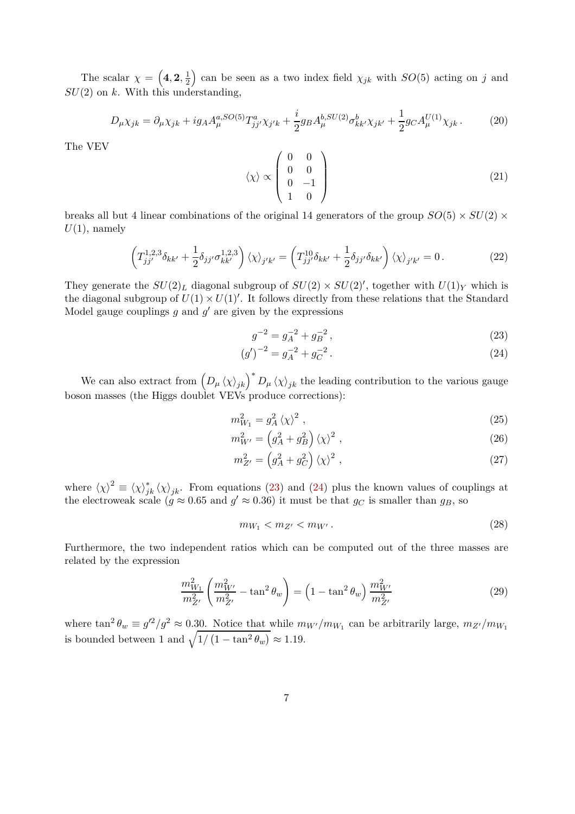The scalar  $\chi = \left(4, 2, \frac{1}{2}\right)$ 2 ) can be seen as a two index field  $\chi_{jk}$  with  $SO(5)$  acting on *j* and *SU*(2) on *k*. With this understanding,

$$
D_{\mu}\chi_{jk} = \partial_{\mu}\chi_{jk} + ig_A A_{\mu}^{a, SO(5)} T_{jj'}^{a} \chi_{j'k} + \frac{i}{2} g_B A_{\mu}^{b, SU(2)} \sigma_{kk'}^{b} \chi_{jk'} + \frac{1}{2} g_C A_{\mu}^{U(1)} \chi_{jk}.
$$
 (20)

The VEV

$$
\langle \chi \rangle \propto \begin{pmatrix} 0 & 0 \\ 0 & 0 \\ 0 & -1 \\ 1 & 0 \end{pmatrix}
$$
 (21)

breaks all but 4 linear combinations of the original 14 generators of the group  $SO(5) \times SU(2) \times$  $U(1)$ , namely

$$
\left(T_{jj'}^{1,2,3}\delta_{kk'} + \frac{1}{2}\delta_{jj'}\sigma_{kk'}^{1,2,3}\right)\langle\chi\rangle_{j'k'} = \left(T_{jj'}^{10}\delta_{kk'} + \frac{1}{2}\delta_{jj'}\delta_{kk'}\right)\langle\chi\rangle_{j'k'} = 0.
$$
\n(22)

They generate the  $SU(2)_L$  diagonal subgroup of  $SU(2) \times SU(2)'$ , together with  $U(1)_Y$  which is the diagonal subgroup of  $U(1) \times U(1)'$ . It follows directly from these relations that the Standard Model gauge couplings  $g$  and  $g'$  are given by the expressions

<span id="page-6-1"></span><span id="page-6-0"></span>
$$
g^{-2} = g_A^{-2} + g_B^{-2},\tag{23}
$$

$$
(g')^{-2} = g_A^{-2} + g_C^{-2}.
$$
\n(24)

We can also extract from  $(D_\mu \langle \chi \rangle_{jk})^* D_\mu \langle \chi \rangle_{jk}$  the leading contribution to the various gauge boson masses (the Higgs doublet VEVs produce corrections):

$$
m_{W_1}^2 = g_A^2 \langle \chi \rangle^2 \,, \tag{25}
$$

$$
m_{W'}^2 = \left(g_A^2 + g_B^2\right)\left\langle\chi\right\rangle^2\,,\tag{26}
$$

$$
m_{Z'}^2 = \left(g_A^2 + g_C^2\right)\langle\chi\rangle^2\,,\tag{27}
$$

where  $\langle \chi \rangle^2 \equiv \langle \chi \rangle^*_{jk} \langle \chi \rangle_{jk}$ . From equations [\(23\)](#page-6-0) and [\(24\)](#page-6-1) plus the known values of couplings at the electroweak scale ( $g \approx 0.65$  and  $g' \approx 0.36$ ) it must be that  $g_C$  is smaller than  $g_B$ , so

$$
m_{W_1} < m_{Z'} < m_{W'} \,. \tag{28}
$$

Furthermore, the two independent ratios which can be computed out of the three masses are related by the expression

$$
\frac{m_{W_1}^2}{m_{Z'}^2} \left( \frac{m_{W'}^2}{m_{Z'}^2} - \tan^2 \theta_w \right) = \left( 1 - \tan^2 \theta_w \right) \frac{m_{W'}^2}{m_{Z'}^2}
$$
\n(29)

where  $\tan^2 \theta_w \equiv g'^2/g^2 \approx 0.30$ . Notice that while  $m_{W'}/m_{W_1}$  can be arbitrarily large,  $m_{Z'}/m_{W_1}$ is bounded between 1 and  $\sqrt{1/(1 - \tan^2 \theta_w)} \approx 1.19$ .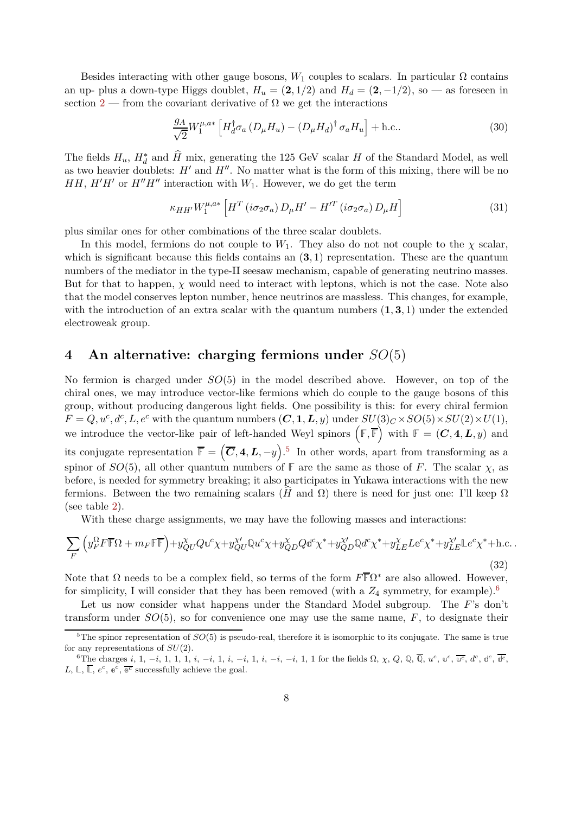Besides interacting with other gauge bosons,  $W_1$  couples to scalars. In particular  $\Omega$  contains an up- plus a down-type Higgs doublet,  $H_u = (2, 1/2)$  and  $H_d = (2, -1/2)$ , so — as foreseen in section [2](#page-2-0) — from the covariant derivative of  $\Omega$  we get the interactions

$$
\frac{g_A}{\sqrt{2}} W_1^{\mu, a*} \left[ H_d^{\dagger} \sigma_a \left( D_\mu H_u \right) - \left( D_\mu H_d \right)^\dagger \sigma_a H_u \right] + \text{h.c.} \tag{30}
$$

The fields  $H_u$ ,  $H_d^*$  and  $\hat{H}$  mix, generating the 125 GeV scalar *H* of the Standard Model, as well as two heavier doublets: *H*′ and *H*′′. No matter what is the form of this mixing, there will be no *HH*,  $H'H'$  or  $H''H''$  interaction with  $W_1$ . However, we do get the term

$$
\kappa_{HH'} W_1^{\mu,a*} \left[ H^T \left( i \sigma_2 \sigma_a \right) D_{\mu} H' - H'^T \left( i \sigma_2 \sigma_a \right) D_{\mu} H \right] \tag{31}
$$

plus similar ones for other combinations of the three scalar doublets.

In this model, fermions do not couple to  $W_1$ . They also do not not couple to the  $\chi$  scalar, which is significant because this fields contains an (**3***,* 1) representation. These are the quantum numbers of the mediator in the type-II seesaw mechanism, capable of generating neutrino masses. But for that to happen,  $\chi$  would need to interact with leptons, which is not the case. Note also that the model conserves lepton number, hence neutrinos are massless. This changes, for example, with the introduction of an extra scalar with the quantum numbers (**1***,* **3***,* 1) under the extended electroweak group.

### <span id="page-7-0"></span>**4 An alternative: charging fermions under** *SO*(5)

No fermion is charged under *SO*(5) in the model described above. However, on top of the chiral ones, we may introduce vector-like fermions which do couple to the gauge bosons of this group, without producing dangerous light fields. One possibility is this: for every chiral fermion  $F = Q, u^c, d^c, L, e^c$  with the quantum numbers  $(C, 1, L, y)$  under  $SU(3)_C \times SO(5) \times SU(2) \times U(1)$ , we introduce the vector-like pair of left-handed Weyl spinors  $(F, \overline{F})$  with  $F = (C, 4, L, y)$  and its conjugate representation  $\overline{\mathbb{F}} = (\overline{C}, 4, L, -y)$ .<sup>[5](#page-7-1)</sup> In other words, apart from transforming as a spinor of *SO*(5), all other quantum numbers of  $\mathbb{F}$  are the same as those of *F*. The scalar *χ*, as before, is needed for symmetry breaking; it also participates in Yukawa interactions with the new fermions. Between the two remaining scalars (*H*b and Ω) there is need for just one: I'll keep Ω (see table [2\)](#page-8-0).

With these charge assignments, we may have the following masses and interactions:

<span id="page-7-3"></span>
$$
\sum_{F} \left( y_F^{\Omega} F \overline{F} \Omega + m_F \overline{\mathbb{F}} \overline{F} \right) + y_{QU}^{\chi} Q u^c \chi + y_{QU}^{\chi'} \mathbb{Q} u^c \chi + y_{QD}^{\chi} Q \mathbb{d}^c \chi^* + y_{QD}^{\chi'} \mathbb{Q} d^c \chi^* + y_{LE}^{\chi} L \mathbb{e}^c \chi^* + y_{LE}^{\chi'} L \mathbb{e}^c \chi^* + \text{h.c.} \tag{32}
$$

Note that  $\Omega$  needs to be a complex field, so terms of the form  $F\overline{\mathbb{F}}\Omega^*$  are also allowed. However, for simplicity, I will consider that they has been removed (with a  $Z_4$  symmetry, for example).<sup>[6](#page-7-2)</sup>

Let us now consider what happens under the Standard Model subgroup. The *F*'s don't transform under *SO*(5), so for convenience one may use the same name, *F*, to designate their

<span id="page-7-1"></span><sup>&</sup>lt;sup>5</sup>The spinor representation of  $SO(5)$  is pseudo-real, therefore it is isomorphic to its conjugate. The same is true for any representations of *SU*(2).

<span id="page-7-2"></span><sup>&</sup>lt;sup>6</sup>The charges *i*, 1, -*i*, 1, 1, 1, *i*, -*i*, 1, *i*, -*i*, 1, *i*, -*i*, 1, *i*, -*i*, 1, 1 for the fields  $\Omega$ ,  $\chi$ ,  $Q$ ,  $\mathbb{Q}$ ,  $\overline{\mathbb{Q}}$ ,  $u^c$ ,  $u^c$ ,  $\overline{u^c}$ ,  $d^c$ ,  $d^c$ ,  $\overline{d^c}$ ,  $\overline{d^c}$ ,  $L, \mathbb{L}, \overline{\mathbb{L}}, e^c, e^c, \overline{e^c}$  successfully achieve the goal.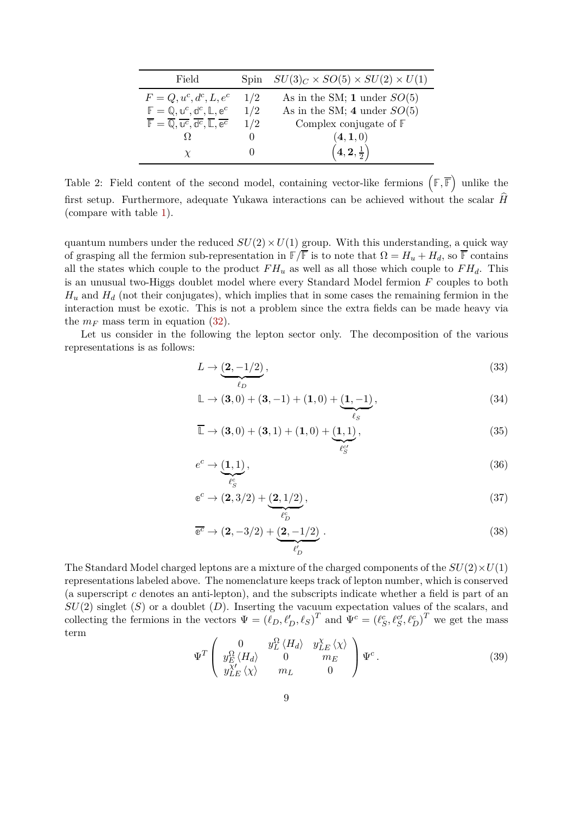| Field                                                                                                                                             | Spin | $SU(3)_C \times SO(5) \times SU(2) \times U(1)$ |
|---------------------------------------------------------------------------------------------------------------------------------------------------|------|-------------------------------------------------|
| $F = Q, u^c, d^c, L, e^c$                                                                                                                         | 1/2  | As in the SM; 1 under $SO(5)$                   |
| $\mathbb{F} = \mathbb{Q}, \mathbb{u}^c, \mathbb{d}^c, \mathbb{L}, \mathbb{e}^c$                                                                   | 1/2  | As in the SM; 4 under $SO(5)$                   |
| $\overline{\mathbb{F}} = \overline{\mathbb{Q}}, \overline{\mathbb{u}^c}, \overline{\mathbb{d}^c}, \overline{\mathbb{L}}, \overline{\mathbb{e}^c}$ | 1/2  | Complex conjugate of $F$                        |
|                                                                                                                                                   |      | (4,1,0)                                         |
|                                                                                                                                                   |      | $(4, 2, \frac{1}{2})$                           |

<span id="page-8-0"></span>Table 2: Field content of the second model, containing vector-like fermions  $(F, \overline{F})$  unlike the first setup. Furthermore, adequate Yukawa interactions can be achieved without the scalar  $\hat{H}$ (compare with table [1\)](#page-5-0).

quantum numbers under the reduced  $SU(2) \times U(1)$  group. With this understanding, a quick way of grasping all the fermion sub-representation in  $\mathbb{F}/\overline{\mathbb{F}}$  is to note that  $\Omega = H_u + H_d$ , so  $\overline{\mathbb{F}}$  contains all the states which couple to the product  $FH_u$  as well as all those which couple to  $FH_d$ . This is an unusual two-Higgs doublet model where every Standard Model fermion *F* couples to both  $H_u$  and  $H_d$  (not their conjugates), which implies that in some cases the remaining fermion in the interaction must be exotic. This is not a problem since the extra fields can be made heavy via the  $m_F$  mass term in equation [\(32\)](#page-7-3).

Let us consider in the following the lepton sector only. The decomposition of the various representations is as follows:

$$
L \to \underbrace{(2, -1/2)}_{\ell_D},\tag{33}
$$

$$
\mathbb{L} \to (\mathbf{3}, 0) + (\mathbf{3}, -1) + (\mathbf{1}, 0) + \underbrace{(\mathbf{1}, -1)}_{\ell_S},
$$
\n(34)

$$
\mathbb{L} \to (\mathbf{3}, 0) + (\mathbf{3}, 1) + (\mathbf{1}, 0) + (\underbrace{\mathbf{1}, 1}_{\ell_S^{\ell'}}),
$$
\n(35)

$$
e^{c} \to \underbrace{(1,1)}_{\ell_{S}^{c}},\tag{36}
$$

$$
\mathbf{e}^c \rightarrow (\mathbf{2}, 3/2) + \underbrace{(\mathbf{2}, 1/2)}_{\ell_D^c}, \tag{37}
$$

$$
\overline{e^c} \to (2, -3/2) + \underbrace{(2, -1/2)}_{\ell'_D} \,. \tag{38}
$$

The Standard Model charged leptons are a mixture of the charged components of the  $SU(2) \times U(1)$ representations labeled above. The nomenclature keeps track of lepton number, which is conserved (a superscript *c* denotes an anti-lepton), and the subscripts indicate whether a field is part of an *SU*(2) singlet (*S*) or a doublet (*D*). Inserting the vacuum expectation values of the scalars, and collecting the fermions in the vectors  $\Psi = (\ell_D, \ell'_D, \ell_S)^T$  and  $\Psi^c = (\ell_S^c, \ell_S^c, \ell_D^c)^T$  we get the mass term

$$
\Psi^T \begin{pmatrix} 0 & y_L^{\Omega} \langle H_d \rangle & y_{LE}^{\chi} \langle \chi \rangle \\ y_E^{\Omega} \langle H_d \rangle & 0 & m_E \\ y_{LE}^{\chi'} \langle \chi \rangle & m_L & 0 \end{pmatrix} \Psi^c.
$$
 (39)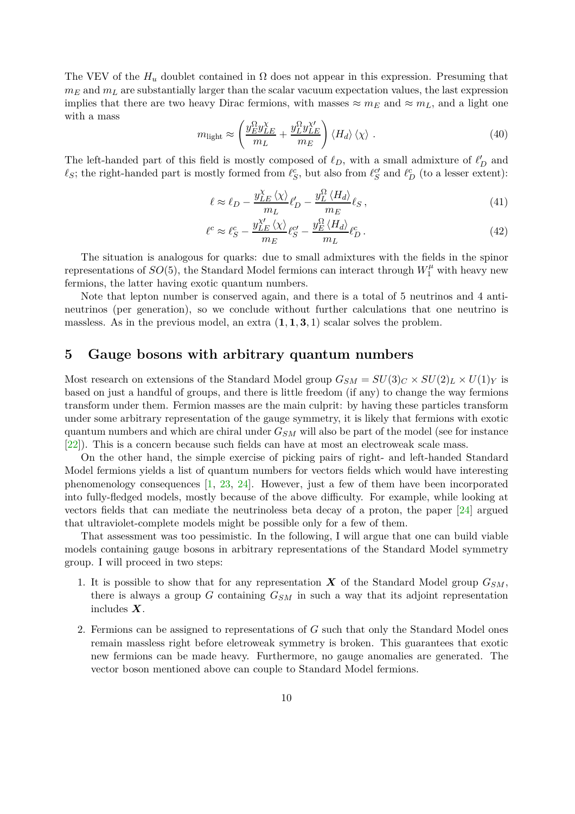The VEV of the  $H_u$  doublet contained in  $\Omega$  does not appear in this expression. Presuming that  $m_E$  and  $m_L$  are substantially larger than the scalar vacuum expectation values, the last expression implies that there are two heavy Dirac fermions, with masses  $\approx m_E$  and  $\approx m_L$ , and a light one with a mass

$$
m_{\text{light}} \approx \left(\frac{y_{E}^{\Omega} y_{LE}^{\chi}}{m_L} + \frac{y_{L}^{\Omega} y_{LE}^{\chi'}}{m_E}\right) \langle H_d \rangle \langle \chi \rangle . \tag{40}
$$

The left-handed part of this field is mostly composed of  $\ell_D$ , with a small admixture of  $\ell'_D$  and  $\ell_S$ ; the right-handed part is mostly formed from  $\ell_S^c$ , but also from  $\ell_S^c$  and  $\ell_D^c$  (to a lesser extent):

$$
\ell \approx \ell_D - \frac{y_{LE}^{\chi} \langle \chi \rangle}{m_L} \ell'_D - \frac{y_L^{\Omega} \langle H_d \rangle}{m_E} \ell_S \,, \tag{41}
$$

$$
\ell^c \approx \ell_S^c - \frac{y_{LE}^{\chi'}}{m_E} \langle \chi \rangle_{\ell_S^c} - \frac{y_E^{\Omega} \langle H_d \rangle}{m_L} \ell_D^c \,. \tag{42}
$$

The situation is analogous for quarks: due to small admixtures with the fields in the spinor representations of  $SO(5)$ , the Standard Model fermions can interact through  $W_1^{\mu}$  with heavy new fermions, the latter having exotic quantum numbers.

Note that lepton number is conserved again, and there is a total of 5 neutrinos and 4 antineutrinos (per generation), so we conclude without further calculations that one neutrino is massless. As in the previous model, an extra  $(1,1,3,1)$  scalar solves the problem.

## <span id="page-9-0"></span>**5 Gauge bosons with arbitrary quantum numbers**

Most research on extensions of the Standard Model group  $G_{SM} = SU(3)_C \times SU(2)_L \times U(1)_Y$  is based on just a handful of groups, and there is little freedom (if any) to change the way fermions transform under them. Fermion masses are the main culprit: by having these particles transform under some arbitrary representation of the gauge symmetry, it is likely that fermions with exotic quantum numbers and which are chiral under *GSM* will also be part of the model (see for instance [\[22\]](#page-15-0)). This is a concern because such fields can have at most an electroweak scale mass.

On the other hand, the simple exercise of picking pairs of right- and left-handed Standard Model fermions yields a list of quantum numbers for vectors fields which would have interesting phenomenology consequences [\[1](#page-13-0), [23](#page-15-1), [24\]](#page-15-2). However, just a few of them have been incorporated into fully-fledged models, mostly because of the above difficulty. For example, while looking at vectors fields that can mediate the neutrinoless beta decay of a proton, the paper [\[24](#page-15-2)] argued that ultraviolet-complete models might be possible only for a few of them.

That assessment was too pessimistic. In the following, I will argue that one can build viable models containing gauge bosons in arbitrary representations of the Standard Model symmetry group. I will proceed in two steps:

- 1. It is possible to show that for any representation  $\boldsymbol{X}$  of the Standard Model group  $G_{SM}$ , there is always a group  $G$  containing  $G_{SM}$  in such a way that its adjoint representation includes *X*.
- 2. Fermions can be assigned to representations of *G* such that only the Standard Model ones remain massless right before eletroweak symmetry is broken. This guarantees that exotic new fermions can be made heavy. Furthermore, no gauge anomalies are generated. The vector boson mentioned above can couple to Standard Model fermions.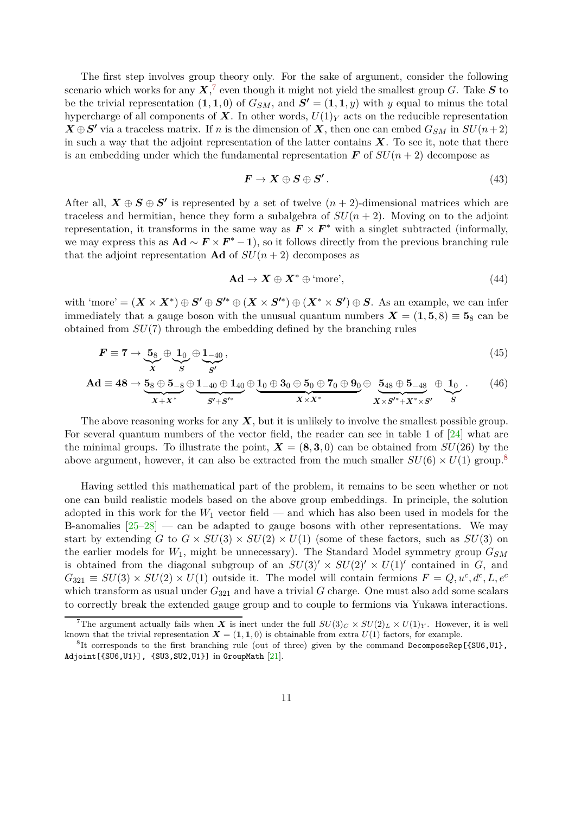The first step involves group theory only. For the sake of argument, consider the following scenario which works for any  $X$ <sup>[7](#page-10-0)</sup>, even though it might not yield the smallest group *G*. Take  $S$  to be the trivial representation  $(1,1,0)$  of  $G_{SM}$ , and  $S' = (1,1,y)$  with y equal to minus the total hypercharge of all components of  $\boldsymbol{X}$ . In other words,  $U(1)_Y$  acts on the reducible representation  $\overline{X} \oplus S'$  via a traceless matrix. If *n* is the dimension of  $\overline{X}$ , then one can embed  $G_{SM}$  in  $SU(n+2)$ in such a way that the adjoint representation of the latter contains  $X$ . To see it, note that there is an embedding under which the fundamental representation  $\bf{F}$  of  $SU(n+2)$  decompose as

<span id="page-10-2"></span>
$$
F \to X \oplus S \oplus S' \,.
$$
 (43)

After all,  $X \oplus S \oplus S'$  is represented by a set of twelve  $(n + 2)$ -dimensional matrices which are traceless and hermitian, hence they form a subalgebra of  $SU(n+2)$ . Moving on to the adjoint representation, it transforms in the same way as  $F \times F^*$  with a singlet subtracted (informally, we may express this as  $\mathbf{Ad} \sim \mathbf{F} \times \mathbf{F}^* - 1$ , so it follows directly from the previous branching rule that the adjoint representation **Ad** of  $SU(n+2)$  decomposes as

<span id="page-10-3"></span>
$$
\mathbf{Ad} \to \mathbf{X} \oplus \mathbf{X}^* \oplus \text{ 'more'},\tag{44}
$$

with 'more' =  $(X \times X^*) \oplus S' \oplus S'^* \oplus (X \times S'^*) \oplus (X^* \times S') \oplus S$ . As an example, we can infer immediately that a gauge boson with the unusual quantum numbers  $\mathbf{X} = (1, 5, 8) \equiv 5_8$  can be obtained from *SU*(7) through the embedding defined by the branching rules

$$
F \equiv 7 \to \underbrace{5_8}_{X} \oplus \underbrace{1_0}_{S} \oplus \underbrace{1_{-40}}_{S'},\tag{45}
$$

$$
\mathbf{Ad} \equiv 48 \to \underbrace{5_8 \oplus 5_{-8}}_{X+X^*} \oplus \underbrace{1_{-40} \oplus 1_{40}}_{S'+S'^*} \oplus \underbrace{1_0 \oplus 3_0 \oplus 5_0 \oplus 7_0 \oplus 9_0}_{X \times X^*} \oplus \underbrace{5_{48} \oplus 5_{-48}}_{X \times S'^*+X^* \times S'} \oplus \underbrace{1_0}_{S} . \tag{46}
$$

The above reasoning works for any *X*, but it is unlikely to involve the smallest possible group. For several quantum numbers of the vector field, the reader can see in table 1 of [\[24](#page-15-2)] what are the minimal groups. To illustrate the point,  $\mathbf{X} = (\mathbf{8}, \mathbf{3}, 0)$  can be obtained from  $SU(26)$  by the above argument, however, it can also be extracted from the much smaller  $SU(6) \times U(1)$  group.<sup>[8](#page-10-1)</sup>

Having settled this mathematical part of the problem, it remains to be seen whether or not one can build realistic models based on the above group embeddings. In principle, the solution adopted in this work for the  $W_1$  vector field — and which has also been used in models for the B-anomalies  $[25-28]$  — can be adapted to gauge bosons with other representations. We may start by extending *G* to  $G \times SU(3) \times SU(2) \times U(1)$  (some of these factors, such as  $SU(3)$  on the earlier models for *W*1, might be unnecessary). The Standard Model symmetry group *GSM* is obtained from the diagonal subgroup of an  $SU(3)' \times SU(2)' \times U(1)'$  contained in *G*, and  $G_{321} \equiv SU(3) \times SU(2) \times U(1)$  outside it. The model will contain fermions  $F = Q, u^c, d^c, L, e^c$ which transform as usual under  $G_{321}$  and have a trivial  $G$  charge. One must also add some scalars to correctly break the extended gauge group and to couple to fermions via Yukawa interactions.

<span id="page-10-0"></span><sup>&</sup>lt;sup>7</sup>The argument actually fails when *X* is inert under the full  $SU(3)_C \times SU(2)_L \times U(1)_Y$ . However, it is well known that the trivial representation  $\mathbf{X} = (1, 1, 0)$  is obtainable from extra  $U(1)$  factors, for example.

<span id="page-10-1"></span> ${}^{8}$ It corresponds to the first branching rule (out of three) given by the command DecomposeRep[{SU6,U1}, Adjoint[{SU6,U1}], {SU3,SU2,U1}] in GroupMath [\[21](#page-14-11)].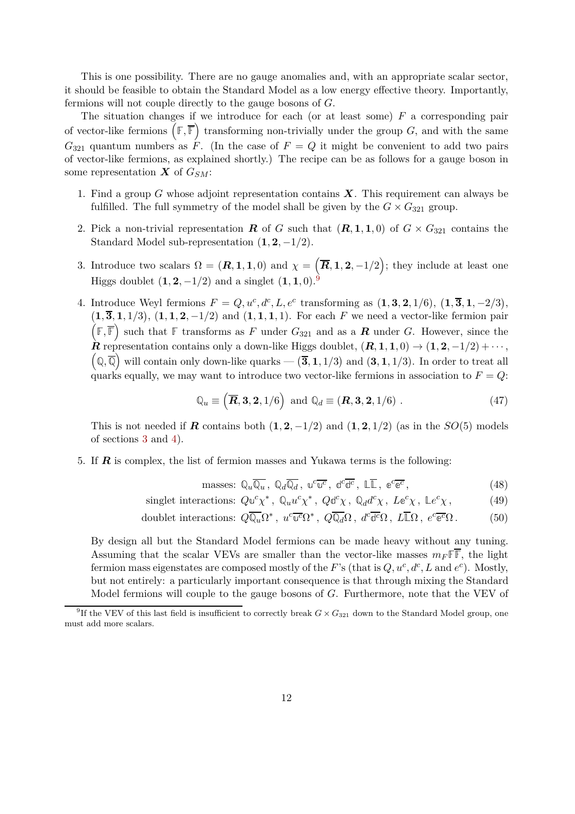This is one possibility. There are no gauge anomalies and, with an appropriate scalar sector, it should be feasible to obtain the Standard Model as a low energy effective theory. Importantly, fermions will not couple directly to the gauge bosons of *G*.

The situation changes if we introduce for each (or at least some) *F* a corresponding pair of vector-like fermions  $(F, \overline{F})$  transforming non-trivially under the group *G*, and with the same  $G_{321}$  quantum numbers as  $\hat{F}$ . (In the case of  $F = Q$  it might be convenient to add two pairs of vector-like fermions, as explained shortly.) The recipe can be as follows for a gauge boson in some representation *X* of *GSM*:

- 1. Find a group *G* whose adjoint representation contains *X*. This requirement can always be fulfilled. The full symmetry of the model shall be given by the  $G \times G_{321}$  group.
- 2. Pick a non-trivial representation *R* of *G* such that  $(R, 1, 1, 0)$  of  $G \times G_{321}$  contains the Standard Model sub-representation  $(1, 2, -1/2)$ .
- 3. Introduce two scalars  $\Omega = (\mathbf{R}, \mathbf{1}, \mathbf{1}, 0)$  and  $\chi = (\overline{\mathbf{R}}, \mathbf{1}, \mathbf{2}, -1/2)$ ; they include at least one Higgs doublet  $(1, 2, -1/2)$  and a singlet  $(1, 1, 0)$ .<sup>[9](#page-11-0)</sup>
- 4. Introduce Weyl fermions  $F = Q, u^c, d^c, L, e^c$  transforming as  $(1, 3, 2, 1/6), (1, \overline{3}, 1, -2/3),$  $(1,\overline{3},1,1/3), (1,1,2,-1/2)$  and  $(1,1,1,1)$ . For each F we need a vector-like fermion pair  $(F, \overline{F})$  such that  $F$  transforms as *F* under *G*<sub>321</sub> and as a *R* under *G*. However, since the  $\hat{\mathbf{R}}$  representation contains only a down-like Higgs doublet,  $(\mathbf{R}, \mathbf{1}, \mathbf{1}, 0) \rightarrow (\mathbf{1}, \mathbf{2}, -1/2) + \cdots$ ,  $\overline{\mathbb{Q}}$ ,  $\overline{\mathbb{Q}}$  will contain only down-like quarks —  $(\overline{\mathbf{3}}, \mathbf{1}, 1/3)$  and  $(\mathbf{3}, \mathbf{1}, 1/3)$ . In order to treat all quarks equally, we may want to introduce two vector-like fermions in association to  $F = Q$ :

$$
\mathbb{Q}_u \equiv \left( \overline{R}, 3, 2, 1/6 \right) \text{ and } \mathbb{Q}_d \equiv \left( R, 3, 2, 1/6 \right) . \tag{47}
$$

This is not needed if *R* contains both  $(1, 2, -1/2)$  and  $(1, 2, 1/2)$  (as in the  $SO(5)$  models of sections [3](#page-3-0) and [4\)](#page-7-0).

5. If *R* is complex, the list of fermion masses and Yukawa terms is the following:

masses: 
$$
\mathbb{Q}_u \overline{\mathbb{Q}_u}
$$
,  $\mathbb{Q}_d \overline{\mathbb{Q}_d}$ ,  $\mathbb{u}^c \overline{\mathbb{u}^c}$ ,  $\mathbb{d}^c \overline{\mathbb{d}^c}$ ,  $\mathbb{L} \overline{\mathbb{L}}$ ,  $\mathbb{e}^c \overline{\mathbb{e}^c}$ , 
$$
(48)
$$

singlet interactions: 
$$
Qu^c \chi^*
$$
,  $\mathbb{Q}_u u^c \chi^*$ ,  $Q d^c \chi$ ,  $\mathbb{Q}_d d^c \chi$ ,  $Le^c \chi$ ,  $Le^c \chi$ , (49)

doublet interactions: 
$$
Q\overline{\mathbb{Q}_u}\Omega^*
$$
,  $u^c\overline{\mathbb{u}^c}\Omega^*$ ,  $Q\overline{\mathbb{Q}_d}\Omega$ ,  $d^c\overline{\mathbb{d}^c}\Omega$ ,  $L\overline{\mathbb{L}}\Omega$ ,  $e^c\overline{\mathbb{e}^c}\Omega$ . (50)

By design all but the Standard Model fermions can be made heavy without any tuning. Assuming that the scalar VEVs are smaller than the vector-like masses  $m_F \mathbb{F}$ , the light fermion mass eigenstates are composed mostly of the *F*'s (that is  $Q, u^c, d^c, L$  and  $e^c$ ). Mostly, but not entirely: a particularly important consequence is that through mixing the Standard Model fermions will couple to the gauge bosons of *G*. Furthermore, note that the VEV of

<span id="page-11-0"></span><sup>&</sup>lt;sup>9</sup>If the VEV of this last field is insufficient to correctly break  $G \times G_{321}$  down to the Standard Model group, one must add more scalars.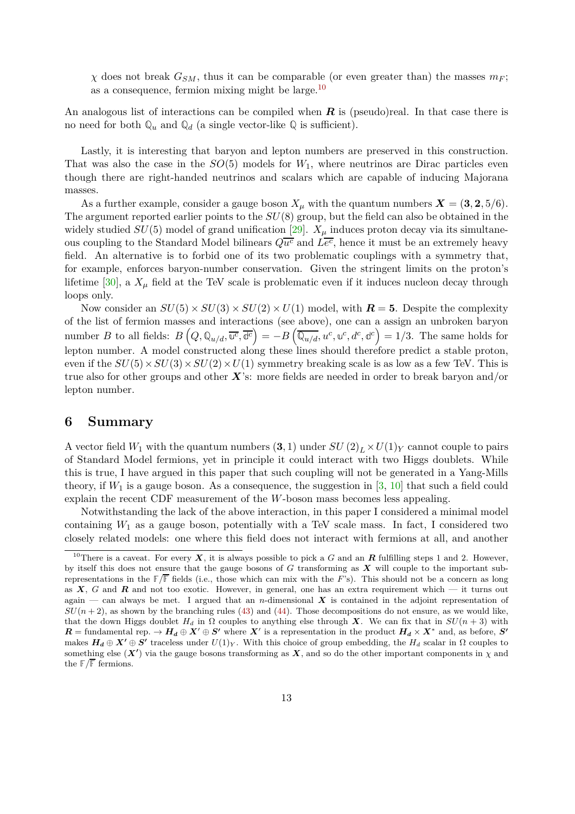$\chi$  does not break  $G_{SM}$ , thus it can be comparable (or even greater than) the masses  $m_F$ ; as a consequence, fermion mixing might be large.[10](#page-12-1)

An analogous list of interactions can be compiled when **R** is (pseudo)real. In that case there is no need for both  $\mathbb{Q}_u$  and  $\mathbb{Q}_d$  (a single vector-like  $\mathbb{Q}$  is sufficient).

Lastly, it is interesting that baryon and lepton numbers are preserved in this construction. That was also the case in the  $SO(5)$  models for  $W_1$ , where neutrinos are Dirac particles even though there are right-handed neutrinos and scalars which are capable of inducing Majorana masses.

As a further example, consider a gauge boson  $X_\mu$  with the quantum numbers  $\mathbf{X} = (3, 2, 5/6)$ . The argument reported earlier points to the *SU*(8) group, but the field can also be obtained in the widely studied  $SU(5)$  model of grand unification [\[29](#page-15-5)].  $X_\mu$  induces proton decay via its simultaneous coupling to the Standard Model bilinears  $Q\overline{u^c}$  and  $L\overline{e^c}$ , hence it must be an extremely heavy field. An alternative is to forbid one of its two problematic couplings with a symmetry that, for example, enforces baryon-number conservation. Given the stringent limits on the proton's lifetime  $[30]$ , a  $X_\mu$  field at the TeV scale is problematic even if it induces nucleon decay through loops only.

Now consider an  $SU(5) \times SU(3) \times SU(2) \times U(1)$  model, with  $\mathbf{R} = 5$ . Despite the complexity of the list of fermion masses and interactions (see above), one can a assign an unbroken baryon number B to all fields:  $B(Q, \mathbb{Q}_{u/d}, \overline{u^c}, \overline{d^c}) = -B(\overline{\mathbb{Q}_{u/d}}, u^c, u^c, d^c, d^c) = 1/3$ . The same holds for lepton number. A model constructed along these lines should therefore predict a stable proton, even if the  $SU(5) \times SU(3) \times SU(2) \times U(1)$  symmetry breaking scale is as low as a few TeV. This is true also for other groups and other *X*'s: more fields are needed in order to break baryon and/or lepton number.

### <span id="page-12-0"></span>**6 Summary**

A vector field  $W_1$  with the quantum numbers  $(3,1)$  under  $SU(2)_L \times U(1)_Y$  cannot couple to pairs of Standard Model fermions, yet in principle it could interact with two Higgs doublets. While this is true, I have argued in this paper that such coupling will not be generated in a Yang-Mills theory, if  $W_1$  is a gauge boson. As a consequence, the suggestion in  $[3, 10]$  $[3, 10]$  $[3, 10]$  that such a field could explain the recent CDF measurement of the *W*-boson mass becomes less appealing.

Notwithstanding the lack of the above interaction, in this paper I considered a minimal model containing  $W_1$  as a gauge boson, potentially with a TeV scale mass. In fact, I considered two closely related models: one where this field does not interact with fermions at all, and another

<span id="page-12-1"></span><sup>&</sup>lt;sup>10</sup>There is a caveat. For every  $X$ , it is always possible to pick a *G* and an  $R$  fulfilling steps 1 and 2. However, by itself this does not ensure that the gauge bosons of *G* transforming as *X* will couple to the important subrepresentations in the  $\mathbb{F}/\overline{\mathbb{F}}$  fields (i.e., those which can mix with the *F*'s). This should not be a concern as long as *X*, *G* and *R* and not too exotic. However, in general, one has an extra requirement which — it turns out again — can always be met. I argued that an *n*-dimensional  $X$  is contained in the adjoint representation of  $SU(n+2)$ , as shown by the branching rules [\(43\)](#page-10-2) and [\(44\)](#page-10-3). Those decompositions do not ensure, as we would like, that the down Higgs doublet  $H_d$  in  $\Omega$  couples to anything else through *X*. We can fix that in  $SU(n+3)$  with  $R = \text{fundamental rep.} \rightarrow H_d \oplus X' \oplus S'$  where X' is a representation in the product  $H_d \times X^*$  and, as before, *S'* makes  $H_d \oplus X' \oplus S'$  traceless under  $U(1)_Y$ . With this choice of group embedding, the  $H_d$  scalar in  $\Omega$  couples to something else  $(X')$  via the gauge bosons transforming as  $X$ , and so do the other important components in  $\chi$  and the  $\mathbb{F}/\overline{\mathbb{F}}$  fermions.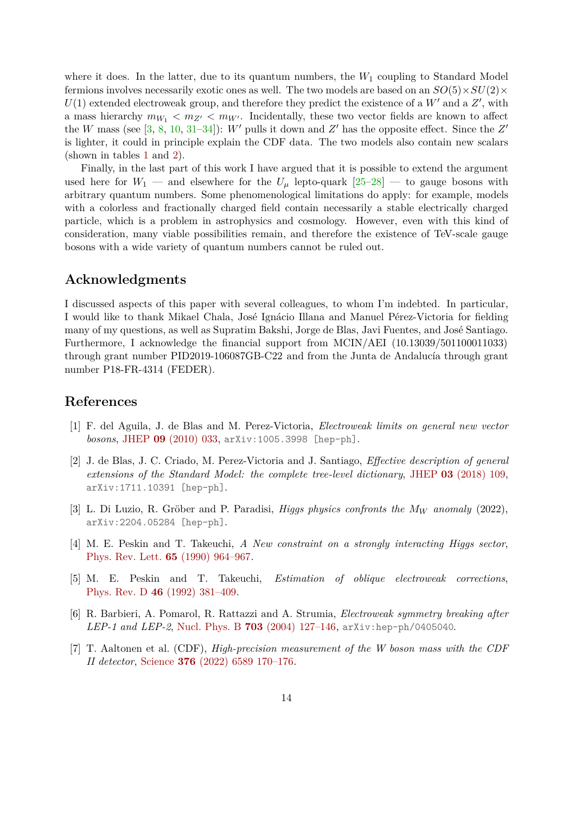where it does. In the latter, due to its quantum numbers, the  $W_1$  coupling to Standard Model fermions involves necessarily exotic ones as well. The two models are based on an  $SO(5) \times SU(2) \times$  $U(1)$  extended electroweak group, and therefore they predict the existence of a  $W'$  and a  $Z'$ , with a mass hierarchy  $m_{W_1} < m_{Z'} < m_{W'}$ . Incidentally, these two vector fields are known to affect the *W* mass (see [\[3](#page-13-2), [8](#page-14-0), [10,](#page-14-2) [31](#page-15-7)[–34](#page-15-8)]): *W'* pulls it down and  $Z'$  has the opposite effect. Since the  $Z'$ is lighter, it could in principle explain the CDF data. The two models also contain new scalars (shown in tables [1](#page-5-0) and [2\)](#page-8-0).

Finally, in the last part of this work I have argued that it is possible to extend the argument used here for  $W_1$  — and elsewhere for the  $U_\mu$  lepto-quark  $[25-28]$  — to gauge bosons with arbitrary quantum numbers. Some phenomenological limitations do apply: for example, models with a colorless and fractionally charged field contain necessarily a stable electrically charged particle, which is a problem in astrophysics and cosmology. However, even with this kind of consideration, many viable possibilities remain, and therefore the existence of TeV-scale gauge bosons with a wide variety of quantum numbers cannot be ruled out.

#### **Acknowledgments**

I discussed aspects of this paper with several colleagues, to whom I'm indebted. In particular, I would like to thank Mikael Chala, José Ignácio Illana and Manuel Pérez-Victoria for fielding many of my questions, as well as Supratim Bakshi, Jorge de Blas, Javi Fuentes, and José Santiago. Furthermore, I acknowledge the financial support from MCIN/AEI (10.13039/501100011033) through grant number PID2019-106087GB-C22 and from the Junta de Andalucía through grant number P18-FR-4314 (FEDER).

#### **References**

- <span id="page-13-0"></span>[1] F. del Aguila, J. de Blas and M. Perez-Victoria, *Electroweak limits on general new vector bosons*, [JHEP](http://dx.doi.org/10.1007/JHEP09(2010)033) **09** [\(2010\) 033,](http://dx.doi.org/10.1007/JHEP09(2010)033) [arXiv:1005.3998 \[hep-ph\]](http://arxiv.org/abs/1005.3998).
- <span id="page-13-1"></span>[2] J. de Blas, J. C. Criado, M. Perez-Victoria and J. Santiago, *Effective description of general extensions of the Standard Model: the complete tree-level dictionary*, [JHEP](http://dx.doi.org/10.1007/JHEP03(2018)109) **03** [\(2018\) 109,](http://dx.doi.org/10.1007/JHEP03(2018)109) [arXiv:1711.10391 \[hep-ph\]](http://arxiv.org/abs/1711.10391).
- <span id="page-13-2"></span>[3] L. Di Luzio, R. Gröber and P. Paradisi, *Higgs physics confronts the M<sup>W</sup> anomaly* (2022), [arXiv:2204.05284 \[hep-ph\]](http://arxiv.org/abs/2204.05284).
- <span id="page-13-3"></span>[4] M. E. Peskin and T. Takeuchi, *A New constraint on a strongly interacting Higgs sector*, [Phys. Rev. Lett.](http://dx.doi.org/10.1103/PhysRevLett.65.964) **65** [\(1990\) 964–967.](http://dx.doi.org/10.1103/PhysRevLett.65.964)
- [5] M. E. Peskin and T. Takeuchi, *Estimation of oblique electroweak corrections*, [Phys. Rev. D](http://dx.doi.org/10.1103/PhysRevD.46.381) **46** [\(1992\) 381–409.](http://dx.doi.org/10.1103/PhysRevD.46.381)
- <span id="page-13-4"></span>[6] R. Barbieri, A. Pomarol, R. Rattazzi and A. Strumia, *Electroweak symmetry breaking after LEP-1 and LEP-2*, [Nucl. Phys. B](http://dx.doi.org/10.1016/j.nuclphysb.2004.10.014) **703** [\(2004\) 127–146,](http://dx.doi.org/10.1016/j.nuclphysb.2004.10.014) [arXiv:hep-ph/0405040](http://arxiv.org/abs/hep-ph/0405040).
- <span id="page-13-5"></span>[7] T. Aaltonen et al. (CDF), *High-precision measurement of the W boson mass with the CDF II detector*, [Science](http://dx.doi.org/10.1126/science.abk1781) **376** [\(2022\) 6589 170–176.](http://dx.doi.org/10.1126/science.abk1781)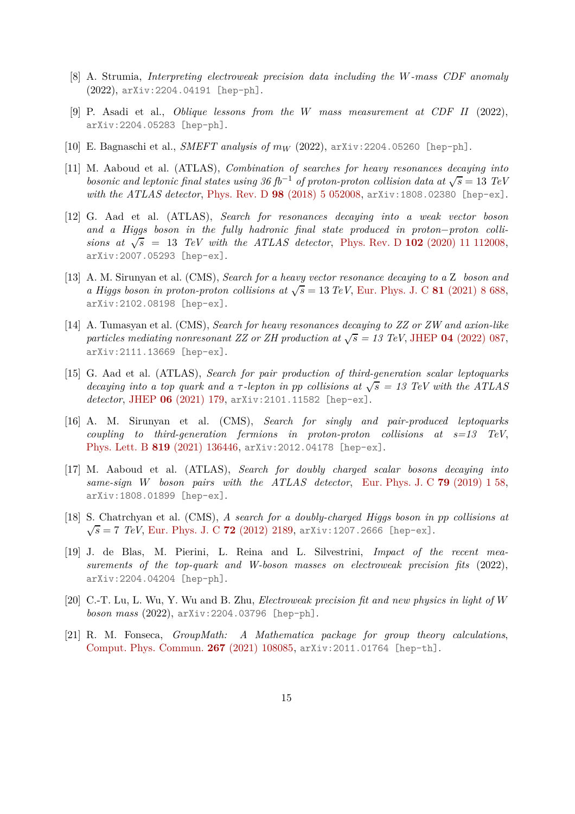- <span id="page-14-0"></span>[8] A. Strumia, *Interpreting electroweak precision data including the W-mass CDF anomaly* (2022), [arXiv:2204.04191 \[hep-ph\]](http://arxiv.org/abs/2204.04191).
- <span id="page-14-1"></span>[9] P. Asadi et al., *Oblique lessons from the W mass measurement at CDF II* (2022), [arXiv:2204.05283 \[hep-ph\]](http://arxiv.org/abs/2204.05283).
- <span id="page-14-2"></span>[10] E. Bagnaschi et al., *SMEFT analysis of m<sup>W</sup>* (2022), [arXiv:2204.05260 \[hep-ph\]](http://arxiv.org/abs/2204.05260).
- <span id="page-14-3"></span>[11] M. Aaboud et al. (ATLAS), *Combination of searches for heavy resonances decaying into bosonic and leptonic final states using 36 fb<sup>-1</sup> of proton-proton collision data at*  $\sqrt{s} = 13$  *TeV with the ATLAS detector*, [Phys. Rev. D](http://dx.doi.org/10.1103/PhysRevD.98.052008) **98** [\(2018\) 5 052008,](http://dx.doi.org/10.1103/PhysRevD.98.052008) [arXiv:1808.02380 \[hep-ex\]](http://arxiv.org/abs/1808.02380).
- [12] G. Aad et al. (ATLAS), *Search for resonances decaying into a weak vector boson and a Higgs boson in the fully hadronic final state produced in proton*−*proton collisions at*  $\sqrt{s}$  = 13 *TeV with the ATLAS detector*, [Phys. Rev. D](http://dx.doi.org/10.1103/PhysRevD.102.112008) **102** [\(2020\) 11 112008,](http://dx.doi.org/10.1103/PhysRevD.102.112008) [arXiv:2007.05293 \[hep-ex\]](http://arxiv.org/abs/2007.05293).
- [13] A. M. Sirunyan et al. (CMS), *Search for a heavy vector resonance decaying to a* Z *boson and a Higgs boson in proton-proton collisions at*  $\sqrt{s} = 13 \text{ TeV}$ , [Eur. Phys. J. C](http://dx.doi.org/10.1140/epjc/s10052-021-09348-6) 81 [\(2021\) 8 688,](http://dx.doi.org/10.1140/epjc/s10052-021-09348-6) [arXiv:2102.08198 \[hep-ex\]](http://arxiv.org/abs/2102.08198).
- <span id="page-14-4"></span>[14] A. Tumasyan et al. (CMS), *Search for heavy resonances decaying to ZZ or ZW and axion-like particles mediating nonresonant ZZ or ZH production at*  $\sqrt{s}$  = 13 TeV, [JHEP](http://dx.doi.org/10.1007/JHEP04(2022)087) 04 [\(2022\) 087,](http://dx.doi.org/10.1007/JHEP04(2022)087) [arXiv:2111.13669 \[hep-ex\]](http://arxiv.org/abs/2111.13669).
- <span id="page-14-5"></span>[15] G. Aad et al. (ATLAS), *Search for pair production of third-generation scalar leptoquarks decaying into a top quark and a*  $\tau$ -lepton in pp collisions at  $\sqrt{s} = 13$  TeV with the ATLAS *detector*, [JHEP](http://dx.doi.org/10.1007/JHEP06(2021)179) **06** [\(2021\) 179,](http://dx.doi.org/10.1007/JHEP06(2021)179) [arXiv:2101.11582 \[hep-ex\]](http://arxiv.org/abs/2101.11582).
- <span id="page-14-6"></span>[16] A. M. Sirunyan et al. (CMS), *Search for singly and pair-produced leptoquarks coupling to third-generation fermions in proton-proton collisions at s=13 TeV*, [Phys. Lett. B](http://dx.doi.org/10.1016/j.physletb.2021.136446) **819** [\(2021\) 136446,](http://dx.doi.org/10.1016/j.physletb.2021.136446) [arXiv:2012.04178 \[hep-ex\]](http://arxiv.org/abs/2012.04178).
- <span id="page-14-7"></span>[17] M. Aaboud et al. (ATLAS), *Search for doubly charged scalar bosons decaying into same-sign W boson pairs with the ATLAS detector*, [Eur. Phys. J. C](http://dx.doi.org/10.1140/epjc/s10052-018-6500-y) **79** [\(2019\) 1 58,](http://dx.doi.org/10.1140/epjc/s10052-018-6500-y) [arXiv:1808.01899 \[hep-ex\]](http://arxiv.org/abs/1808.01899).
- <span id="page-14-8"></span>[18] S. Chatrchyan et al. (CMS), *A search for a doubly-charged Higgs boson in pp collisions at*  $\sqrt{s} = 7$  *TeV*, [Eur. Phys. J. C](http://dx.doi.org/10.1140/epjc/s10052-012-2189-5) **72** [\(2012\) 2189,](http://dx.doi.org/10.1140/epjc/s10052-012-2189-5) [arXiv:1207.2666 \[hep-ex\]](http://arxiv.org/abs/1207.2666).
- <span id="page-14-9"></span>[19] J. de Blas, M. Pierini, L. Reina and L. Silvestrini, *Impact of the recent measurements of the top-quark and W-boson masses on electroweak precision fits* (2022), [arXiv:2204.04204 \[hep-ph\]](http://arxiv.org/abs/2204.04204).
- <span id="page-14-10"></span>[20] C.-T. Lu, L. Wu, Y. Wu and B. Zhu, *Electroweak precision fit and new physics in light of W boson mass* (2022), [arXiv:2204.03796 \[hep-ph\]](http://arxiv.org/abs/2204.03796).
- <span id="page-14-11"></span>[21] R. M. Fonseca, *GroupMath: A Mathematica package for group theory calculations*, [Comput. Phys. Commun.](http://dx.doi.org/10.1016/j.cpc.2021.108085) **267** [\(2021\) 108085,](http://dx.doi.org/10.1016/j.cpc.2021.108085) [arXiv:2011.01764 \[hep-th\]](http://arxiv.org/abs/2011.01764).